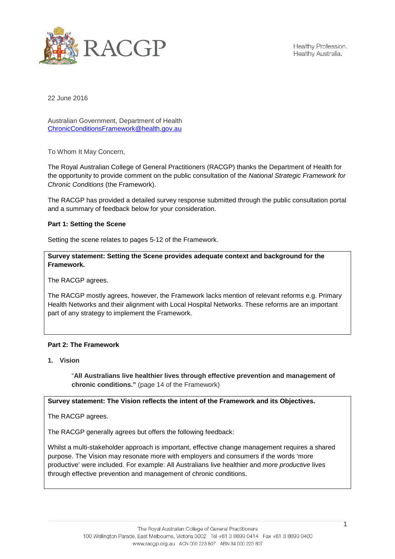

Healthy Profession. Healthy Australia.

22 June 2016

Australian Government, Department of Health [ChronicConditionsFramework@health.gov.au](mailto:ChronicConditionsFramework@health.gov.au)

To Whom It May Concern,

The Royal Australian College of General Practitioners (RACGP) thanks the Department of Health for the opportunity to provide comment on the public consultation of the *National Strategic Framework for Chronic Conditions* (the Framework).

The RACGP has provided a detailed survey response submitted through the public consultation portal and a summary of feedback below for your consideration.

#### **Part 1: Setting the Scene**

Setting the scene relates to pages 5-12 of the Framework.

**Survey statement: Setting the Scene provides adequate context and background for the Framework.**

The RACGP agrees.

The RACGP mostly agrees, however, the Framework lacks mention of relevant reforms e.g. Primary Health Networks and their alignment with Local Hospital Networks. These reforms are an important part of any strategy to implement the Framework.

### **Part 2: The Framework**

**1. Vision** 

"**All Australians live healthier lives through effective prevention and management of chronic conditions."** (page 14 of the Framework)

### **Survey statement: The Vision reflects the intent of the Framework and its Objectives.**

The RACGP agrees.

The RACGP generally agrees but offers the following feedback:

Whilst a multi-stakeholder approach is important, effective change management requires a shared purpose. The Vision may resonate more with employers and consumers if the words 'more productive' were included. For example: All Australians live healthier and *more productive* lives through effective prevention and management of chronic conditions.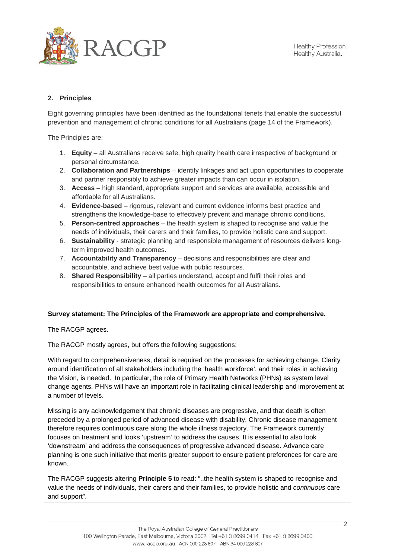

# **2. Principles**

Eight governing principles have been identified as the foundational tenets that enable the successful prevention and management of chronic conditions for all Australians (page 14 of the Framework).

The Principles are:

- 1. **Equity** all Australians receive safe, high quality health care irrespective of background or personal circumstance.
- 2. **Collaboration and Partnerships** identify linkages and act upon opportunities to cooperate and partner responsibly to achieve greater impacts than can occur in isolation.
- 3. **Access** high standard, appropriate support and services are available, accessible and affordable for all Australians.
- 4. **Evidence-based** rigorous, relevant and current evidence informs best practice and strengthens the knowledge-base to effectively prevent and manage chronic conditions.
- 5. **Person-centred approaches** the health system is shaped to recognise and value the needs of individuals, their carers and their families, to provide holistic care and support.
- 6. **Sustainability** strategic planning and responsible management of resources delivers longterm improved health outcomes.
- 7. **Accountability and Transparency** decisions and responsibilities are clear and accountable, and achieve best value with public resources.
- 8. **Shared Responsibility** all parties understand, accept and fulfil their roles and responsibilities to ensure enhanced health outcomes for all Australians.

### **Survey statement: The Principles of the Framework are appropriate and comprehensive.**

The RACGP agrees.

The RACGP mostly agrees, but offers the following suggestions:

With regard to comprehensiveness, detail is required on the processes for achieving change. Clarity around identification of all stakeholders including the 'health workforce', and their roles in achieving the Vision, is needed. In particular, the role of Primary Health Networks (PHNs) as system level change agents. PHNs will have an important role in facilitating clinical leadership and improvement at a number of levels.

Missing is any acknowledgement that chronic diseases are progressive, and that death is often preceded by a prolonged period of advanced disease with disability. Chronic disease management therefore requires continuous care along the whole illness trajectory. The Framework currently focuses on treatment and looks 'upstream' to address the causes. It is essential to also look 'downstream' and address the consequences of progressive advanced disease. Advance care planning is one such initiative that merits greater support to ensure patient preferences for care are known.

The RACGP suggests altering **Principle 5** to read: "..the health system is shaped to recognise and value the needs of individuals, their carers and their families, to provide holistic and *continuous* care and support".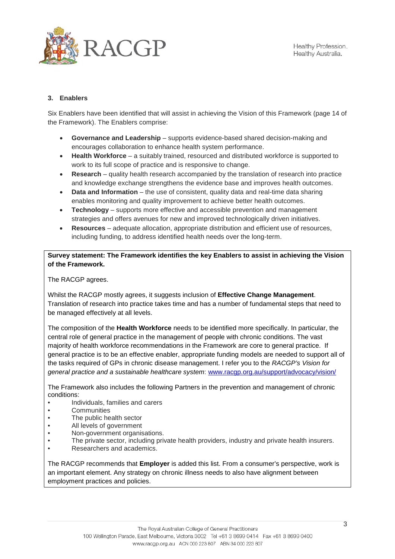

## **3. Enablers**

Six Enablers have been identified that will assist in achieving the Vision of this Framework (page 14 of the Framework). The Enablers comprise:

- **Governance and Leadership** supports evidence-based shared decision-making and encourages collaboration to enhance health system performance.
- **Health Workforce** a suitably trained, resourced and distributed workforce is supported to work to its full scope of practice and is responsive to change.
- **Research** quality health research accompanied by the translation of research into practice and knowledge exchange strengthens the evidence base and improves health outcomes.
- **Data and Information** the use of consistent, quality data and real-time data sharing enables monitoring and quality improvement to achieve better health outcomes.
- **Technology** supports more effective and accessible prevention and management strategies and offers avenues for new and improved technologically driven initiatives.
- **Resources** adequate allocation, appropriate distribution and efficient use of resources, including funding, to address identified health needs over the long-term.

**Survey statement: The Framework identifies the key Enablers to assist in achieving the Vision of the Framework.** 

The RACGP agrees.

Whilst the RACGP mostly agrees, it suggests inclusion of **Effective Change Management**. Translation of research into practice takes time and has a number of fundamental steps that need to be managed effectively at all levels.

The composition of the **Health Workforce** needs to be identified more specifically. In particular, the central role of general practice in the management of people with chronic conditions. The vast majority of health workforce recommendations in the Framework are core to general practice. If general practice is to be an effective enabler, appropriate funding models are needed to support all of the tasks required of GPs in chronic disease management. I refer you to the *RACGP's Vision for general practice and a sustainable healthcare system*: [www.racgp.org.au/support/advocacy/vision/](http://www.racgp.org.au/support/advocacy/vision/)

The Framework also includes the following Partners in the prevention and management of chronic conditions:

- Individuals, families and carers
- Communities<br>• The public be
- The public health sector
- All levels of government
- Non-government organisations.<br>• The private sector, including private
- The private sector, including private health providers, industry and private health insurers.
- Researchers and academics.

The RACGP recommends that **Employer** is added this list. From a consumer's perspective, work is an important element. Any strategy on chronic illness needs to also have alignment between employment practices and policies.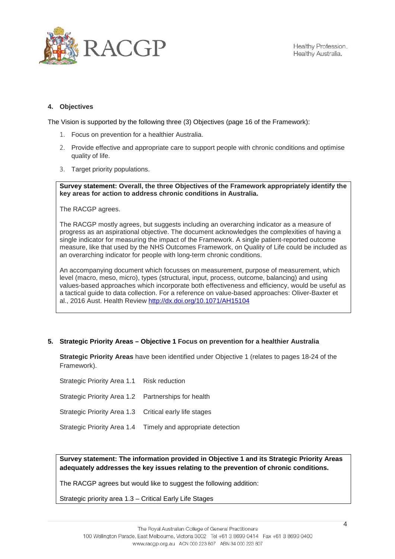

### **4. Objectives**

The Vision is supported by the following three (3) Objectives (page 16 of the Framework):

- 1. Focus on prevention for a healthier Australia.
- 2. Provide effective and appropriate care to support people with chronic conditions and optimise quality of life.
- 3. Target priority populations.

**Survey statement: Overall, the three Objectives of the Framework appropriately identify the key areas for action to address chronic conditions in Australia.** 

The RACGP agrees.

The RACGP mostly agrees, but suggests including an overarching indicator as a measure of progress as an aspirational objective. The document acknowledges the complexities of having a single indicator for measuring the impact of the Framework. A single patient-reported outcome measure, like that used by the NHS Outcomes Framework, on Quality of Life could be included as an overarching indicator for people with long-term chronic conditions.

An accompanying document which focusses on measurement, purpose of measurement, which level (macro, meso, micro), types (structural, input, process, outcome, balancing) and using values-based approaches which incorporate both effectiveness and efficiency, would be useful as a tactical guide to data collection. For a reference on value-based approaches: Oliver-Baxter et al., 2016 Aust. Health Review<http://dx.doi.org/10.1071/AH15104>

### **5. Strategic Priority Areas – Objective 1 Focus on prevention for a healthier Australia**

**Strategic Priority Areas** have been identified under Objective 1 (relates to pages 18-24 of the Framework).

Strategic Priority Area 1.1 Risk reduction Strategic Priority Area 1.2 Partnerships for health Strategic Priority Area 1.3 Critical early life stages Strategic Priority Area 1.4 Timely and appropriate detection

**Survey statement: The information provided in Objective 1 and its Strategic Priority Areas adequately addresses the key issues relating to the prevention of chronic conditions.**

The RACGP agrees but would like to suggest the following addition:

Strategic priority area 1.3 – Critical Early Life Stages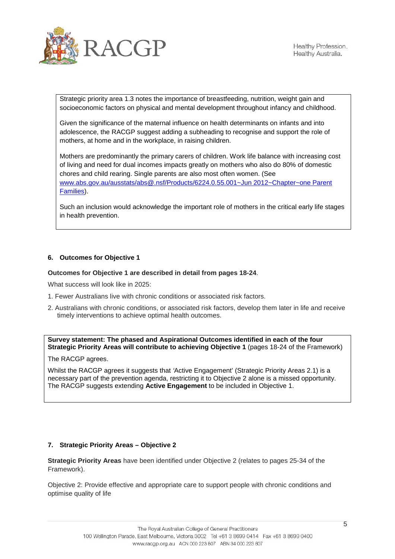

Strategic priority area 1.3 notes the importance of breastfeeding, nutrition, weight gain and socioeconomic factors on physical and mental development throughout infancy and childhood.

Given the significance of the maternal influence on health determinants on infants and into adolescence, the RACGP suggest adding a subheading to recognise and support the role of mothers, at home and in the workplace, in raising children.

Mothers are predominantly the primary carers of children. Work life balance with increasing cost of living and need for dual incomes impacts greatly on mothers who also do 80% of domestic chores and child rearing. Single parents are also most often women. (See www.abs.gov.au/ausstats/abs@.nsf/Products/6224.0.55.001~Jun 2012~Chapter~one Parent Families).

Such an inclusion would acknowledge the important role of mothers in the critical early life stages in health prevention.

## **6. Outcomes for Objective 1**

### **Outcomes for Objective 1 are described in detail from pages 18-24**.

What success will look like in 2025:

- 1. Fewer Australians live with chronic conditions or associated risk factors.
- 2. Australians with chronic conditions, or associated risk factors, develop them later in life and receive timely interventions to achieve optimal health outcomes.

**Survey statement: The phased and Aspirational Outcomes identified in each of the four Strategic Priority Areas will contribute to achieving Objective 1** (pages 18-24 of the Framework)

The RACGP agrees.

Whilst the RACGP agrees it suggests that *'*Active Engagement' (Strategic Priority Areas 2.1) is a necessary part of the prevention agenda, restricting it to Objective 2 alone is a missed opportunity. The RACGP suggests extending **Active Engagement** to be included in Objective 1.

### **7. Strategic Priority Areas – Objective 2**

**Strategic Priority Areas** have been identified under Objective 2 (relates to pages 25-34 of the Framework).

Objective 2: Provide effective and appropriate care to support people with chronic conditions and optimise quality of life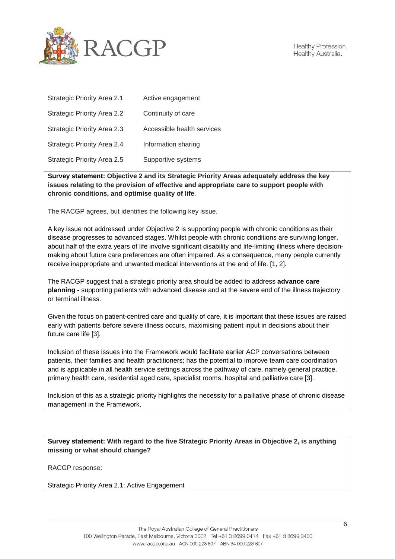

| Strategic Priority Area 2.1        | Active engagement          |
|------------------------------------|----------------------------|
| <b>Strategic Priority Area 2.2</b> | Continuity of care         |
| Strategic Priority Area 2.3        | Accessible health services |
| Strategic Priority Area 2.4        | Information sharing        |
| Strategic Priority Area 2.5        | Supportive systems         |

**Survey statement: Objective 2 and its Strategic Priority Areas adequately address the key issues relating to the provision of effective and appropriate care to support people with chronic conditions, and optimise quality of life**.

The RACGP agrees, but identifies the following key issue.

A key issue not addressed under Objective 2 is supporting people with chronic conditions as their disease progresses to advanced stages. Whilst people with chronic conditions are surviving longer, about half of the extra years of life involve significant disability and life-limiting illness where decisionmaking about future care preferences are often impaired. As a consequence, many people currently receive inappropriate and unwanted medical interventions at the end of life. [\[1,](#page-8-0) [2\]](#page-8-1).

The RACGP suggest that a strategic priority area should be added to address **advance care planning -** supporting patients with advanced disease and at the severe end of the illness trajectory or terminal illness.

Given the focus on patient-centred care and quality of care, it is important that these issues are raised early with patients before severe illness occurs, maximising patient input in decisions about their future care life [\[3\]](#page-8-2).

Inclusion of these issues into the Framework would facilitate earlier ACP conversations between patients, their families and health practitioners; has the potential to improve team care coordination and is applicable in all health service settings across the pathway of care, namely general practice, primary health care, residential aged care, specialist rooms, hospital and palliative care [\[3\]](#page-8-2).

Inclusion of this as a strategic priority highlights the necessity for a palliative phase of chronic disease management in the Framework.

**Survey statement: With regard to the five Strategic Priority Areas in Objective 2, is anything missing or what should change?**

RACGP response:

Strategic Priority Area 2.1: Active Engagement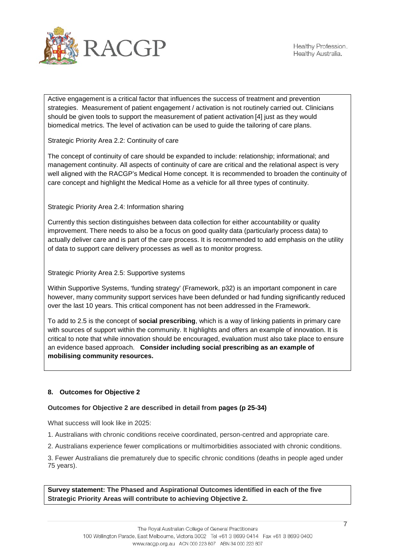

Active engagement is a critical factor that influences the success of treatment and prevention strategies. Measurement of patient engagement / activation is not routinely carried out. Clinicians should be given tools to support the measurement of patient activation [\[4\]](#page-8-3) just as they would biomedical metrics. The level of activation can be used to guide the tailoring of care plans.

Strategic Priority Area 2.2: Continuity of care

The concept of continuity of care should be expanded to include: relationship; informational; and management continuity. All aspects of continuity of care are critical and the relational aspect is very well aligned with the RACGP's Medical Home concept. It is recommended to broaden the continuity of care concept and highlight the Medical Home as a vehicle for all three types of continuity.

Strategic Priority Area 2.4: Information sharing

Currently this section distinguishes between data collection for either accountability or quality improvement. There needs to also be a focus on good quality data (particularly process data) to actually deliver care and is part of the care process. It is recommended to add emphasis on the utility of data to support care delivery processes as well as to monitor progress.

Strategic Priority Area 2.5: Supportive systems

Within Supportive Systems, 'funding strategy' (Framework, p32) is an important component in care however, many community support services have been defunded or had funding significantly reduced over the last 10 years. This critical component has not been addressed in the Framework.

To add to 2.5 is the concept of **social prescribing**, which is a way of linking patients in primary care with sources of support within the community. It highlights and offers an example of innovation. It is critical to note that while innovation should be encouraged, evaluation must also take place to ensure an evidence based approach. **Consider including social prescribing as an example of mobilising community resources.** 

## **8. Outcomes for Objective 2**

## **Outcomes for Objective 2 are described in detail from pages (p 25-34)**

What success will look like in 2025:

1. Australians with chronic conditions receive coordinated, person-centred and appropriate care.

2. Australians experience fewer complications or multimorbidities associated with chronic conditions.

3. Fewer Australians die prematurely due to specific chronic conditions (deaths in people aged under 75 years).

**Survey statement: The Phased and Aspirational Outcomes identified in each of the five Strategic Priority Areas will contribute to achieving Objective 2.**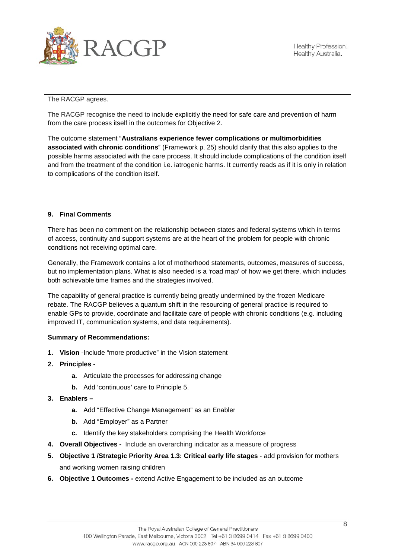

The RACGP agrees.

The RACGP recognise the need to include explicitly the need for safe care and prevention of harm from the care process itself in the outcomes for Objective 2.

The outcome statement "**Australians experience fewer complications or multimorbidities associated with chronic conditions**" (Framework p. 25) should clarify that this also applies to the possible harms associated with the care process. It should include complications of the condition itself and from the treatment of the condition i.e. iatrogenic harms. It currently reads as if it is only in relation to complications of the condition itself.

## **9. Final Comments**

There has been no comment on the relationship between states and federal systems which in terms of access, continuity and support systems are at the heart of the problem for people with chronic conditions not receiving optimal care.

Generally, the Framework contains a lot of motherhood statements, outcomes, measures of success, but no implementation plans. What is also needed is a 'road map' of how we get there, which includes both achievable time frames and the strategies involved.

The capability of general practice is currently being greatly undermined by the frozen Medicare rebate. The RACGP believes a quantum shift in the resourcing of general practice is required to enable GPs to provide, coordinate and facilitate care of people with chronic conditions (e.g. including improved IT, communication systems, and data requirements).

### **Summary of Recommendations:**

- **1. Vision** -Include "more productive" in the Vision statement
- **2. Principles** 
	- **a.** Articulate the processes for addressing change
	- **b.** Add 'continuous' care to Principle 5.
- **3. Enablers –**
	- **a.** Add "Effective Change Management" as an Enabler
	- **b.** Add "Employer" as a Partner
	- **c.** Identify the key stakeholders comprising the Health Workforce
- **4. Overall Objectives -** Include an overarching indicator as a measure of progress
- **5. Objective 1 /Strategic Priority Area 1.3: Critical early life stages** add provision for mothers and working women raising children
- **6. Objective 1 Outcomes -** extend Active Engagement to be included as an outcome